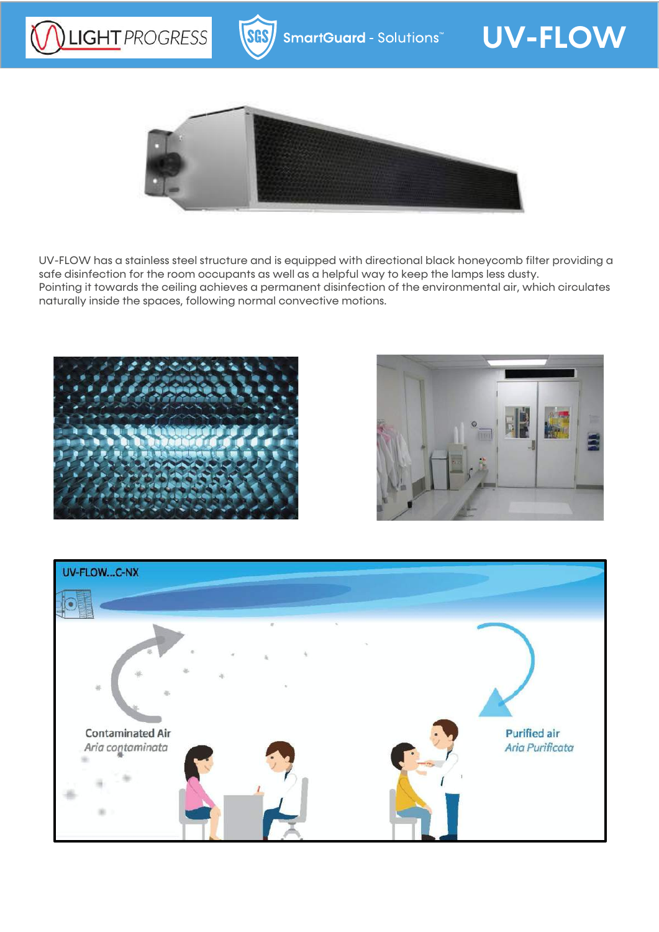



UV-FLOW has a stainless steel structure and is equipped with directional black honeycomb filter providing a safe disinfection for the room occupants as well as a helpful way to keep the lamps less dusty. Pointing it towards the ceiling achieves a permanent disinfection of the environmental air, which circulates naturally inside the spaces, following normal convective motions.